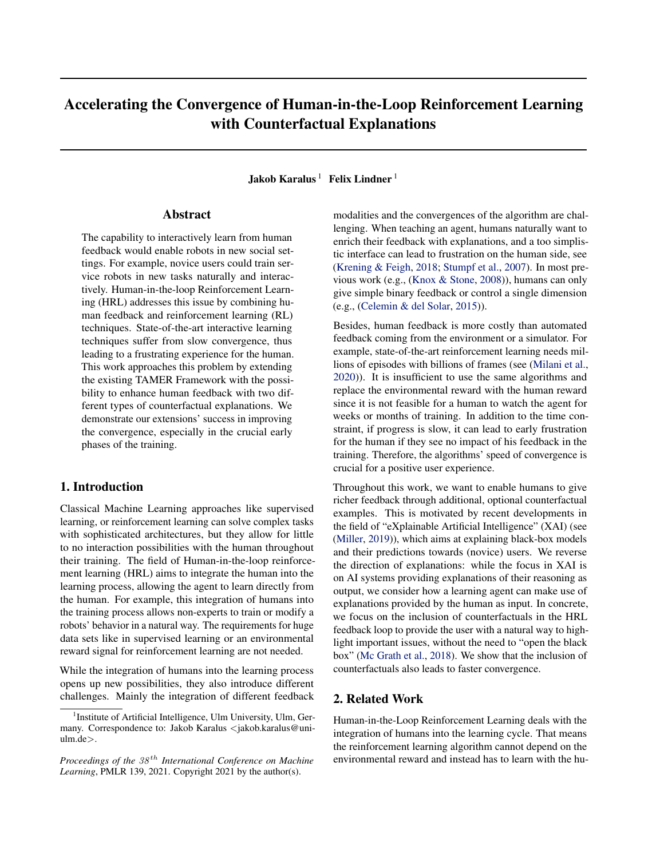# Accelerating the Convergence of Human-in-the-Loop Reinforcement Learning with Counterfactual Explanations

Jakob Karalus<sup>1</sup> Felix Lindner<sup>1</sup>

# Abstract

The capability to interactively learn from human feedback would enable robots in new social settings. For example, novice users could train service robots in new tasks naturally and interactively. Human-in-the-loop Reinforcement Learning (HRL) addresses this issue by combining human feedback and reinforcement learning (RL) techniques. State-of-the-art interactive learning techniques suffer from slow convergence, thus leading to a frustrating experience for the human. This work approaches this problem by extending the existing TAMER Framework with the possibility to enhance human feedback with two different types of counterfactual explanations. We demonstrate our extensions' success in improving the convergence, especially in the crucial early phases of the training.

# 1. Introduction

Classical Machine Learning approaches like supervised learning, or reinforcement learning can solve complex tasks with sophisticated architectures, but they allow for little to no interaction possibilities with the human throughout their training. The field of Human-in-the-loop reinforcement learning (HRL) aims to integrate the human into the learning process, allowing the agent to learn directly from the human. For example, this integration of humans into the training process allows non-experts to train or modify a robots' behavior in a natural way. The requirements for huge data sets like in supervised learning or an environmental reward signal for reinforcement learning are not needed.

While the integration of humans into the learning process opens up new possibilities, they also introduce different challenges. Mainly the integration of different feedback modalities and the convergences of the algorithm are challenging. When teaching an agent, humans naturally want to enrich their feedback with explanations, and a too simplistic interface can lead to frustration on the human side, see [\(Krening & Feigh,](#page-8-0) [2018;](#page-8-0) [Stumpf et al.,](#page-8-0) [2007\)](#page-8-0). In most previous work (e.g., [\(Knox & Stone,](#page-8-0) [2008\)](#page-8-0)), humans can only give simple binary feedback or control a single dimension (e.g., [\(Celemin & del Solar,](#page-7-0) [2015\)](#page-7-0)).

Besides, human feedback is more costly than automated feedback coming from the environment or a simulator. For example, state-of-the-art reinforcement learning needs millions of episodes with billions of frames (see [\(Milani et al.,](#page-8-0) [2020\)](#page-8-0)). It is insufficient to use the same algorithms and replace the environmental reward with the human reward since it is not feasible for a human to watch the agent for weeks or months of training. In addition to the time constraint, if progress is slow, it can lead to early frustration for the human if they see no impact of his feedback in the training. Therefore, the algorithms' speed of convergence is crucial for a positive user experience.

Throughout this work, we want to enable humans to give richer feedback through additional, optional counterfactual examples. This is motivated by recent developments in the field of "eXplainable Artificial Intelligence" (XAI) (see [\(Miller,](#page-8-0) [2019\)](#page-8-0)), which aims at explaining black-box models and their predictions towards (novice) users. We reverse the direction of explanations: while the focus in XAI is on AI systems providing explanations of their reasoning as output, we consider how a learning agent can make use of explanations provided by the human as input. In concrete, we focus on the inclusion of counterfactuals in the HRL feedback loop to provide the user with a natural way to highlight important issues, without the need to "open the black box" [\(Mc Grath et al.,](#page-8-0) [2018\)](#page-8-0). We show that the inclusion of counterfactuals also leads to faster convergence.

### 2. Related Work

Human-in-the-Loop Reinforcement Learning deals with the integration of humans into the learning cycle. That means the reinforcement learning algorithm cannot depend on the environmental reward and instead has to learn with the hu-

<sup>&</sup>lt;sup>1</sup> Institute of Artificial Intelligence, Ulm University, Ulm, Germany. Correspondence to: Jakob Karalus <jakob.karalus@uniulm.de>.

*Proceedings of the*  $38<sup>th</sup>$  *International Conference on Machine Learning*, PMLR 139, 2021. Copyright 2021 by the author(s).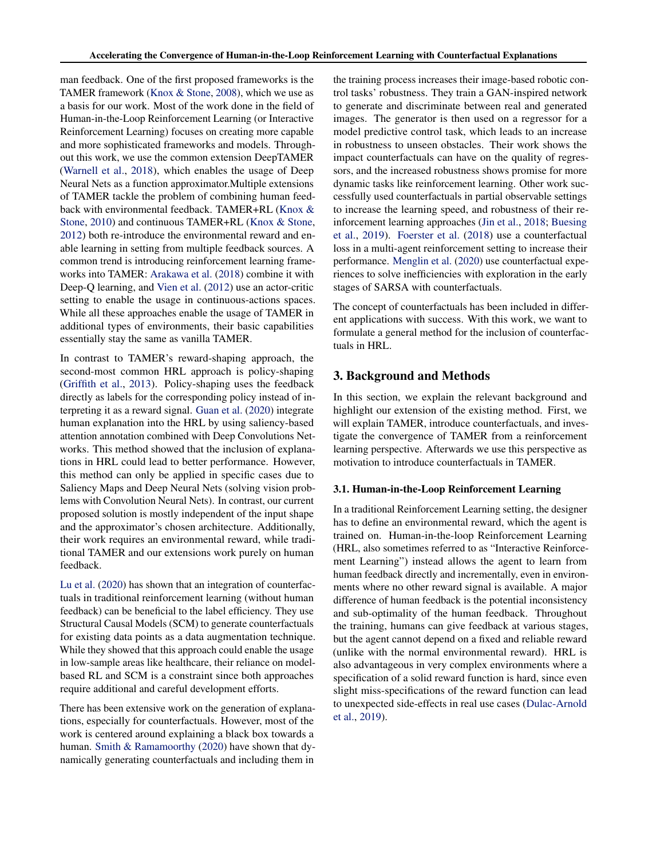man feedback. One of the first proposed frameworks is the TAMER framework [\(Knox & Stone,](#page-8-0) [2008\)](#page-8-0), which we use as a basis for our work. Most of the work done in the field of Human-in-the-Loop Reinforcement Learning (or Interactive Reinforcement Learning) focuses on creating more capable and more sophisticated frameworks and models. Throughout this work, we use the common extension DeepTAMER [\(Warnell et al.,](#page-8-0) [2018\)](#page-8-0), which enables the usage of Deep Neural Nets as a function approximator.Multiple extensions of TAMER tackle the problem of combining human feedback with environmental feedback. TAMER+RL [\(Knox &](#page-8-0) [Stone,](#page-8-0) [2010\)](#page-8-0) and continuous TAMER+RL [\(Knox & Stone,](#page-8-0) [2012\)](#page-8-0) both re-introduce the environmental reward and enable learning in setting from multiple feedback sources. A common trend is introducing reinforcement learning frameworks into TAMER: [Arakawa et al.](#page-7-0) [\(2018\)](#page-7-0) combine it with Deep-Q learning, and [Vien et al.](#page-8-0) [\(2012\)](#page-8-0) use an actor-critic setting to enable the usage in continuous-actions spaces. While all these approaches enable the usage of TAMER in additional types of environments, their basic capabilities essentially stay the same as vanilla TAMER.

In contrast to TAMER's reward-shaping approach, the second-most common HRL approach is policy-shaping [\(Griffith et al.,](#page-7-0) [2013\)](#page-7-0). Policy-shaping uses the feedback directly as labels for the corresponding policy instead of interpreting it as a reward signal. [Guan et al.](#page-7-0) [\(2020\)](#page-7-0) integrate human explanation into the HRL by using saliency-based attention annotation combined with Deep Convolutions Networks. This method showed that the inclusion of explanations in HRL could lead to better performance. However, this method can only be applied in specific cases due to Saliency Maps and Deep Neural Nets (solving vision problems with Convolution Neural Nets). In contrast, our current proposed solution is mostly independent of the input shape and the approximator's chosen architecture. Additionally, their work requires an environmental reward, while traditional TAMER and our extensions work purely on human feedback.

[Lu et al.](#page-8-0) [\(2020\)](#page-8-0) has shown that an integration of counterfactuals in traditional reinforcement learning (without human feedback) can be beneficial to the label efficiency. They use Structural Causal Models (SCM) to generate counterfactuals for existing data points as a data augmentation technique. While they showed that this approach could enable the usage in low-sample areas like healthcare, their reliance on modelbased RL and SCM is a constraint since both approaches require additional and careful development efforts.

There has been extensive work on the generation of explanations, especially for counterfactuals. However, most of the work is centered around explaining a black box towards a human. [Smith & Ramamoorthy](#page-8-0) [\(2020\)](#page-8-0) have shown that dynamically generating counterfactuals and including them in

the training process increases their image-based robotic control tasks' robustness. They train a GAN-inspired network to generate and discriminate between real and generated images. The generator is then used on a regressor for a model predictive control task, which leads to an increase in robustness to unseen obstacles. Their work shows the impact counterfactuals can have on the quality of regressors, and the increased robustness shows promise for more dynamic tasks like reinforcement learning. Other work successfully used counterfactuals in partial observable settings to increase the learning speed, and robustness of their reinforcement learning approaches [\(Jin et al.,](#page-7-0) [2018;](#page-7-0) [Buesing](#page-7-0) [et al.,](#page-7-0) [2019\)](#page-7-0). [Foerster et al.](#page-7-0) [\(2018\)](#page-7-0) use a counterfactual loss in a multi-agent reinforcement setting to increase their performance. [Menglin et al.](#page-8-0) [\(2020\)](#page-8-0) use counterfactual experiences to solve inefficiencies with exploration in the early stages of SARSA with counterfactuals.

The concept of counterfactuals has been included in different applications with success. With this work, we want to formulate a general method for the inclusion of counterfactuals in HRL.

# 3. Background and Methods

In this section, we explain the relevant background and highlight our extension of the existing method. First, we will explain TAMER, introduce counterfactuals, and investigate the convergence of TAMER from a reinforcement learning perspective. Afterwards we use this perspective as motivation to introduce counterfactuals in TAMER.

# 3.1. Human-in-the-Loop Reinforcement Learning

In a traditional Reinforcement Learning setting, the designer has to define an environmental reward, which the agent is trained on. Human-in-the-loop Reinforcement Learning (HRL, also sometimes referred to as "Interactive Reinforcement Learning") instead allows the agent to learn from human feedback directly and incrementally, even in environments where no other reward signal is available. A major difference of human feedback is the potential inconsistency and sub-optimality of the human feedback. Throughout the training, humans can give feedback at various stages, but the agent cannot depend on a fixed and reliable reward (unlike with the normal environmental reward). HRL is also advantageous in very complex environments where a specification of a solid reward function is hard, since even slight miss-specifications of the reward function can lead to unexpected side-effects in real use cases [\(Dulac-Arnold](#page-7-0) [et al.,](#page-7-0) [2019\)](#page-7-0).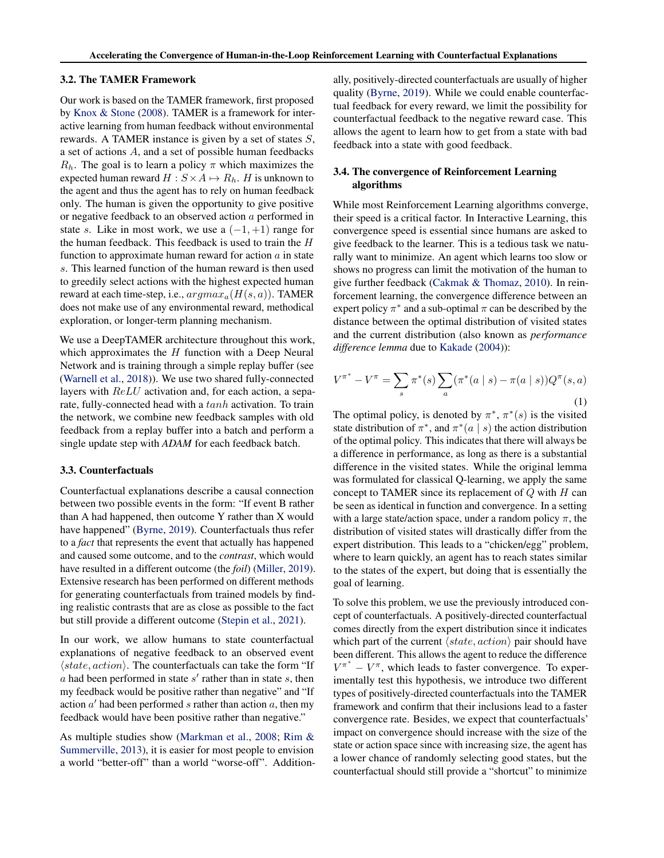#### <span id="page-2-0"></span>3.2. The TAMER Framework

Our work is based on the TAMER framework, first proposed by [Knox & Stone](#page-8-0) [\(2008\)](#page-8-0). TAMER is a framework for interactive learning from human feedback without environmental rewards. A TAMER instance is given by a set of states S, a set of actions A, and a set of possible human feedbacks  $R_h$ . The goal is to learn a policy  $\pi$  which maximizes the expected human reward  $H : S \times A \mapsto R_h$ . H is unknown to the agent and thus the agent has to rely on human feedback only. The human is given the opportunity to give positive or negative feedback to an observed action a performed in state s. Like in most work, we use a  $(-1, +1)$  range for the human feedback. This feedback is used to train the H function to approximate human reward for action  $a$  in state s. This learned function of the human reward is then used to greedily select actions with the highest expected human reward at each time-step, i.e.,  $argmax_a(H(s, a))$ . TAMER does not make use of any environmental reward, methodical exploration, or longer-term planning mechanism.

We use a DeepTAMER architecture throughout this work, which approximates the  $H$  function with a Deep Neural Network and is training through a simple replay buffer (see [\(Warnell et al.,](#page-8-0) [2018\)](#page-8-0)). We use two shared fully-connected layers with ReLU activation and, for each action, a separate, fully-connected head with a tanh activation. To train the network, we combine new feedback samples with old feedback from a replay buffer into a batch and perform a single update step with *ADAM* for each feedback batch.

# 3.3. Counterfactuals

Counterfactual explanations describe a causal connection between two possible events in the form: "If event B rather than A had happened, then outcome Y rather than X would have happened" [\(Byrne,](#page-7-0) [2019\)](#page-7-0). Counterfactuals thus refer to a *fact* that represents the event that actually has happened and caused some outcome, and to the *contrast*, which would have resulted in a different outcome (the *foil*) [\(Miller,](#page-8-0) [2019\)](#page-8-0). Extensive research has been performed on different methods for generating counterfactuals from trained models by finding realistic contrasts that are as close as possible to the fact but still provide a different outcome [\(Stepin et al.,](#page-8-0) [2021\)](#page-8-0).

In our work, we allow humans to state counterfactual explanations of negative feedback to an observed event  $\langle state, action \rangle$ . The counterfactuals can take the form "If  $a$  had been performed in state  $s'$  rather than in state  $s$ , then my feedback would be positive rather than negative" and "If action  $a'$  had been performed s rather than action  $a$ , then my feedback would have been positive rather than negative."

As multiple studies show [\(Markman et al.,](#page-8-0) [2008;](#page-8-0) [Rim &](#page-8-0) [Summerville,](#page-8-0) [2013\)](#page-8-0), it is easier for most people to envision a world "better-off" than a world "worse-off". Additionally, positively-directed counterfactuals are usually of higher quality [\(Byrne,](#page-7-0) [2019\)](#page-7-0). While we could enable counterfactual feedback for every reward, we limit the possibility for counterfactual feedback to the negative reward case. This allows the agent to learn how to get from a state with bad feedback into a state with good feedback.

## 3.4. The convergence of Reinforcement Learning algorithms

While most Reinforcement Learning algorithms converge, their speed is a critical factor. In Interactive Learning, this convergence speed is essential since humans are asked to give feedback to the learner. This is a tedious task we naturally want to minimize. An agent which learns too slow or shows no progress can limit the motivation of the human to give further feedback [\(Cakmak & Thomaz,](#page-7-0) [2010\)](#page-7-0). In reinforcement learning, the convergence difference between an expert policy  $\pi^*$  and a sub-optimal  $\pi$  can be described by the distance between the optimal distribution of visited states and the current distribution (also known as *performance difference lemma* due to [Kakade](#page-7-0) [\(2004\)](#page-7-0)):

$$
V^{\pi^*} - V^{\pi} = \sum_{s} \pi^*(s) \sum_{a} (\pi^*(a \mid s) - \pi(a \mid s)) Q^{\pi}(s, a)
$$
\n(1)

The optimal policy, is denoted by  $\pi^*$ ,  $\pi^*(s)$  is the visited state distribution of  $\pi^*$ , and  $\pi^*(a \mid s)$  the action distribution of the optimal policy. This indicates that there will always be a difference in performance, as long as there is a substantial difference in the visited states. While the original lemma was formulated for classical Q-learning, we apply the same concept to TAMER since its replacement of  $Q$  with  $H$  can be seen as identical in function and convergence. In a setting with a large state/action space, under a random policy  $\pi$ , the distribution of visited states will drastically differ from the expert distribution. This leads to a "chicken/egg" problem, where to learn quickly, an agent has to reach states similar to the states of the expert, but doing that is essentially the goal of learning.

To solve this problem, we use the previously introduced concept of counterfactuals. A positively-directed counterfactual comes directly from the expert distribution since it indicates which part of the current  $\langle state, action \rangle$  pair should have been different. This allows the agent to reduce the difference  $V^{\pi^*} - V^{\pi}$ , which leads to faster convergence. To experimentally test this hypothesis, we introduce two different types of positively-directed counterfactuals into the TAMER framework and confirm that their inclusions lead to a faster convergence rate. Besides, we expect that counterfactuals' impact on convergence should increase with the size of the state or action space since with increasing size, the agent has a lower chance of randomly selecting good states, but the counterfactual should still provide a "shortcut" to minimize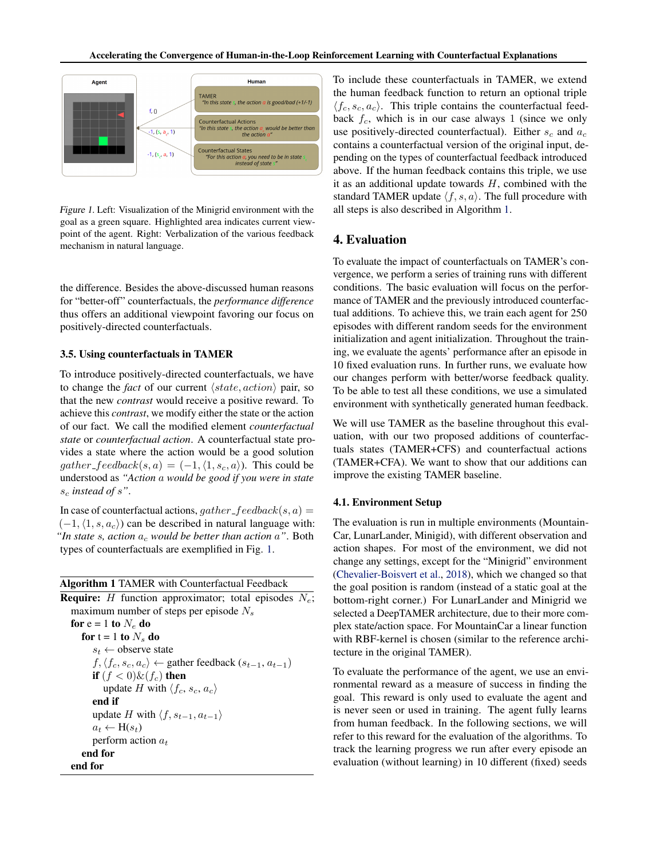

Figure 1. Left: Visualization of the Minigrid environment with the goal as a green square. Highlighted area indicates current viewpoint of the agent. Right: Verbalization of the various feedback mechanism in natural language.

the difference. Besides the above-discussed human reasons for "better-off" counterfactuals, the *performance difference* thus offers an additional viewpoint favoring our focus on positively-directed counterfactuals.

#### 3.5. Using counterfactuals in TAMER

To introduce positively-directed counterfactuals, we have to change the *fact* of our current  $\langle state, action \rangle$  pair, so that the new *contrast* would receive a positive reward. To achieve this *contrast*, we modify either the state or the action of our fact. We call the modified element *counterfactual state* or *counterfactual action*. A counterfactual state provides a state where the action would be a good solution gather feedback $(s, a) = (-1, \langle 1, s_c, a \rangle)$ . This could be understood as *"Action* a *would be good if you were in state* s<sup>c</sup> *instead of* s*"*.

In case of counterfactual actions,  $gather_{\mathcal{G}}\cdot get_{\mathcal{G}}\cdot get_{\mathcal{G}}(s, a) =$  $(-1, \langle 1, s, a_c \rangle)$  can be described in natural language with: "In state s, action  $a_c$  would be better than action  $a$ ". Both types of counterfactuals are exemplified in Fig. 1.

#### Algorithm 1 TAMER with Counterfactual Feedback

**Require:** H function approximator; total episodes  $N_e$ ; maximum number of steps per episode  $N_s$ for  $e = 1$  to  $N_e$  do for  $t = 1$  to  $N_s$  do  $s_t \leftarrow$  observe state  $f, \langle f_c, s_c, a_c \rangle \leftarrow$  gather feedback  $(s_{t-1}, a_{t-1})$ if  $(f < 0) \& f_c$  then update H with  $\langle f_c, s_c, a_c \rangle$ end if update H with  $\langle f, s_{t-1}, a_{t-1} \rangle$  $a_t \leftarrow \mathbf{H}(s_t)$ perform action  $a_t$ end for end for

To include these counterfactuals in TAMER, we extend the human feedback function to return an optional triple  $\langle f_c, s_c, a_c \rangle$ . This triple contains the counterfactual feedback  $f_c$ , which is in our case always 1 (since we only use positively-directed counterfactual). Either  $s_c$  and  $a_c$ contains a counterfactual version of the original input, depending on the types of counterfactual feedback introduced above. If the human feedback contains this triple, we use it as an additional update towards  $H$ , combined with the standard TAMER update  $\langle f, s, a \rangle$ . The full procedure with all steps is also described in Algorithm 1.

# 4. Evaluation

To evaluate the impact of counterfactuals on TAMER's convergence, we perform a series of training runs with different conditions. The basic evaluation will focus on the performance of TAMER and the previously introduced counterfactual additions. To achieve this, we train each agent for 250 episodes with different random seeds for the environment initialization and agent initialization. Throughout the training, we evaluate the agents' performance after an episode in 10 fixed evaluation runs. In further runs, we evaluate how our changes perform with better/worse feedback quality. To be able to test all these conditions, we use a simulated environment with synthetically generated human feedback.

We will use TAMER as the baseline throughout this evaluation, with our two proposed additions of counterfactuals states (TAMER+CFS) and counterfactual actions (TAMER+CFA). We want to show that our additions can improve the existing TAMER baseline.

#### 4.1. Environment Setup

The evaluation is run in multiple environments (Mountain-Car, LunarLander, Minigid), with different observation and action shapes. For most of the environment, we did not change any settings, except for the "Minigrid" environment [\(Chevalier-Boisvert et al.,](#page-7-0) [2018\)](#page-7-0), which we changed so that the goal position is random (instead of a static goal at the bottom-right corner.) For LunarLander and Minigrid we selected a DeepTAMER architecture, due to their more complex state/action space. For MountainCar a linear function with RBF-kernel is chosen (similar to the reference architecture in the original TAMER).

To evaluate the performance of the agent, we use an environmental reward as a measure of success in finding the goal. This reward is only used to evaluate the agent and is never seen or used in training. The agent fully learns from human feedback. In the following sections, we will refer to this reward for the evaluation of the algorithms. To track the learning progress we run after every episode an evaluation (without learning) in 10 different (fixed) seeds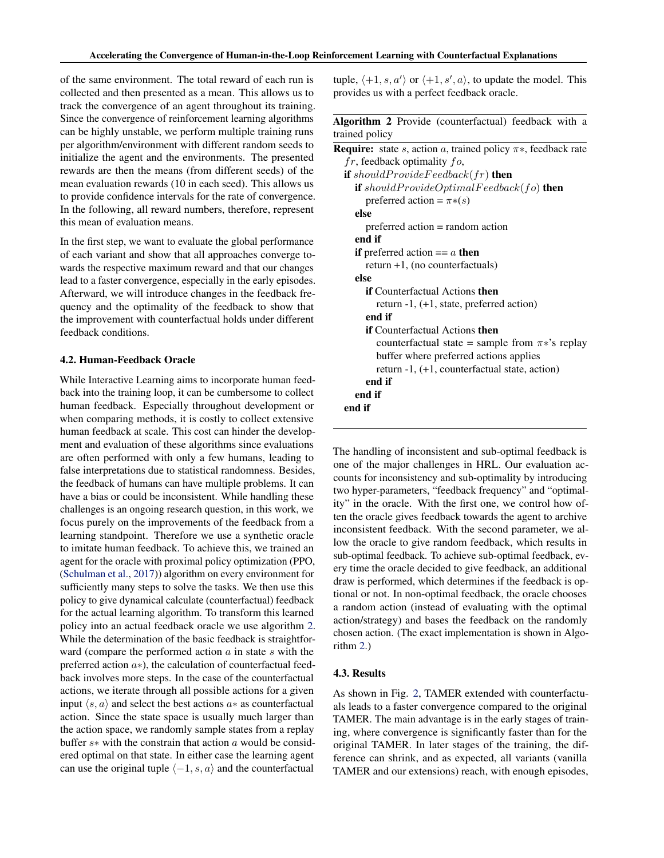<span id="page-4-0"></span>of the same environment. The total reward of each run is collected and then presented as a mean. This allows us to track the convergence of an agent throughout its training. Since the convergence of reinforcement learning algorithms can be highly unstable, we perform multiple training runs per algorithm/environment with different random seeds to initialize the agent and the environments. The presented rewards are then the means (from different seeds) of the mean evaluation rewards (10 in each seed). This allows us to provide confidence intervals for the rate of convergence. In the following, all reward numbers, therefore, represent this mean of evaluation means.

In the first step, we want to evaluate the global performance of each variant and show that all approaches converge towards the respective maximum reward and that our changes lead to a faster convergence, especially in the early episodes. Afterward, we will introduce changes in the feedback frequency and the optimality of the feedback to show that the improvement with counterfactual holds under different feedback conditions.

### 4.2. Human-Feedback Oracle

While Interactive Learning aims to incorporate human feedback into the training loop, it can be cumbersome to collect human feedback. Especially throughout development or when comparing methods, it is costly to collect extensive human feedback at scale. This cost can hinder the development and evaluation of these algorithms since evaluations are often performed with only a few humans, leading to false interpretations due to statistical randomness. Besides, the feedback of humans can have multiple problems. It can have a bias or could be inconsistent. While handling these challenges is an ongoing research question, in this work, we focus purely on the improvements of the feedback from a learning standpoint. Therefore we use a synthetic oracle to imitate human feedback. To achieve this, we trained an agent for the oracle with proximal policy optimization (PPO, [\(Schulman et al.,](#page-8-0) [2017\)](#page-8-0)) algorithm on every environment for sufficiently many steps to solve the tasks. We then use this policy to give dynamical calculate (counterfactual) feedback for the actual learning algorithm. To transform this learned policy into an actual feedback oracle we use algorithm 2. While the determination of the basic feedback is straightforward (compare the performed action  $a$  in state  $s$  with the preferred action a∗), the calculation of counterfactual feedback involves more steps. In the case of the counterfactual actions, we iterate through all possible actions for a given input  $\langle s, a \rangle$  and select the best actions  $a*$  as counterfactual action. Since the state space is usually much larger than the action space, we randomly sample states from a replay buffer s∗ with the constrain that action a would be considered optimal on that state. In either case the learning agent can use the original tuple  $\langle -1, s, a \rangle$  and the counterfactual

tuple,  $\langle +1, s, a' \rangle$  or  $\langle +1, s', a \rangle$ , to update the model. This provides us with a perfect feedback oracle.

Algorithm 2 Provide (counterfactual) feedback with a trained policy

**Require:** state s, action a, trained policy  $\pi$ \*, feedback rate  $fr$ , feedback optimality  $fo$ , if shouldProvideFeedback( $fr$ ) then if shouldProvideOptimalFeedback(fo) then preferred action =  $\pi*(s)$ else preferred action = random action end if if preferred action  $== a$  then return +1, (no counterfactuals) else if Counterfactual Actions then return -1, (+1, state, preferred action) end if if Counterfactual Actions then counterfactual state = sample from  $\pi$ <sup>\*</sup>'s replay buffer where preferred actions applies return -1, (+1, counterfactual state, action) end if end if end if

The handling of inconsistent and sub-optimal feedback is one of the major challenges in HRL. Our evaluation accounts for inconsistency and sub-optimality by introducing two hyper-parameters, "feedback frequency" and "optimality" in the oracle. With the first one, we control how often the oracle gives feedback towards the agent to archive inconsistent feedback. With the second parameter, we allow the oracle to give random feedback, which results in sub-optimal feedback. To achieve sub-optimal feedback, every time the oracle decided to give feedback, an additional draw is performed, which determines if the feedback is optional or not. In non-optimal feedback, the oracle chooses a random action (instead of evaluating with the optimal action/strategy) and bases the feedback on the randomly chosen action. (The exact implementation is shown in Algorithm 2.)

# 4.3. Results

As shown in Fig. [2,](#page-5-0) TAMER extended with counterfactuals leads to a faster convergence compared to the original TAMER. The main advantage is in the early stages of training, where convergence is significantly faster than for the original TAMER. In later stages of the training, the difference can shrink, and as expected, all variants (vanilla TAMER and our extensions) reach, with enough episodes,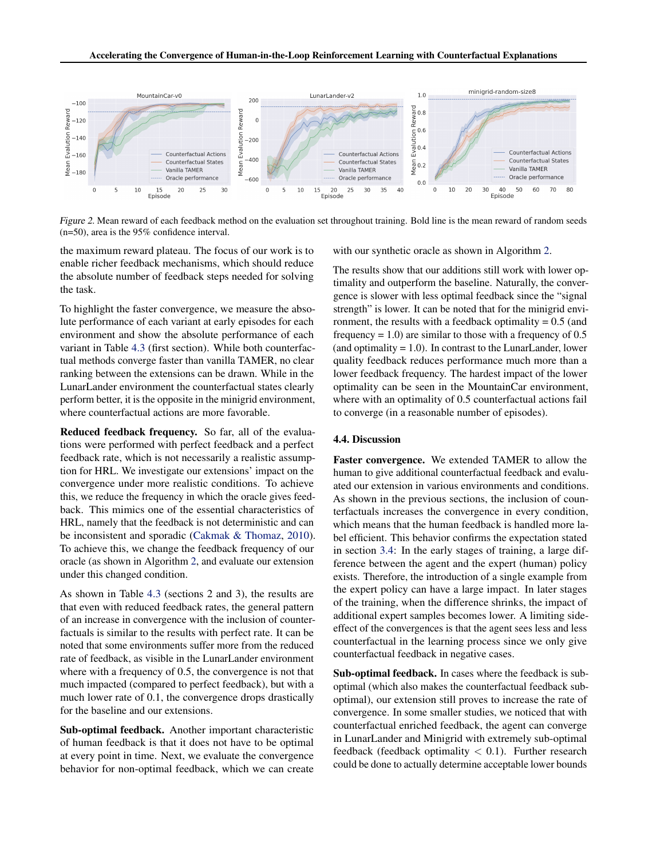<span id="page-5-0"></span>

Figure 2. Mean reward of each feedback method on the evaluation set throughout training. Bold line is the mean reward of random seeds (n=50), area is the 95% confidence interval.

the maximum reward plateau. The focus of our work is to enable richer feedback mechanisms, which should reduce the absolute number of feedback steps needed for solving the task.

To highlight the faster convergence, we measure the absolute performance of each variant at early episodes for each environment and show the absolute performance of each variant in Table [4.3](#page-4-0) (first section). While both counterfactual methods converge faster than vanilla TAMER, no clear ranking between the extensions can be drawn. While in the LunarLander environment the counterfactual states clearly perform better, it is the opposite in the minigrid environment, where counterfactual actions are more favorable.

Reduced feedback frequency. So far, all of the evaluations were performed with perfect feedback and a perfect feedback rate, which is not necessarily a realistic assumption for HRL. We investigate our extensions' impact on the convergence under more realistic conditions. To achieve this, we reduce the frequency in which the oracle gives feedback. This mimics one of the essential characteristics of HRL, namely that the feedback is not deterministic and can be inconsistent and sporadic [\(Cakmak & Thomaz,](#page-7-0) [2010\)](#page-7-0). To achieve this, we change the feedback frequency of our oracle (as shown in Algorithm [2,](#page-4-0) and evaluate our extension under this changed condition.

As shown in Table [4.3](#page-4-0) (sections 2 and 3), the results are that even with reduced feedback rates, the general pattern of an increase in convergence with the inclusion of counterfactuals is similar to the results with perfect rate. It can be noted that some environments suffer more from the reduced rate of feedback, as visible in the LunarLander environment where with a frequency of 0.5, the convergence is not that much impacted (compared to perfect feedback), but with a much lower rate of 0.1, the convergence drops drastically for the baseline and our extensions.

Sub-optimal feedback. Another important characteristic of human feedback is that it does not have to be optimal at every point in time. Next, we evaluate the convergence behavior for non-optimal feedback, which we can create with our synthetic oracle as shown in Algorithm [2.](#page-4-0)

The results show that our additions still work with lower optimality and outperform the baseline. Naturally, the convergence is slower with less optimal feedback since the "signal strength" is lower. It can be noted that for the minigrid environment, the results with a feedback optimality  $= 0.5$  (and frequency  $= 1.0$ ) are similar to those with a frequency of 0.5 (and optimality  $= 1.0$ ). In contrast to the LunarLander, lower quality feedback reduces performance much more than a lower feedback frequency. The hardest impact of the lower optimality can be seen in the MountainCar environment, where with an optimality of 0.5 counterfactual actions fail to converge (in a reasonable number of episodes).

#### 4.4. Discussion

Faster convergence. We extended TAMER to allow the human to give additional counterfactual feedback and evaluated our extension in various environments and conditions. As shown in the previous sections, the inclusion of counterfactuals increases the convergence in every condition, which means that the human feedback is handled more label efficient. This behavior confirms the expectation stated in section [3.4:](#page-2-0) In the early stages of training, a large difference between the agent and the expert (human) policy exists. Therefore, the introduction of a single example from the expert policy can have a large impact. In later stages of the training, when the difference shrinks, the impact of additional expert samples becomes lower. A limiting sideeffect of the convergences is that the agent sees less and less counterfactual in the learning process since we only give counterfactual feedback in negative cases.

Sub-optimal feedback. In cases where the feedback is suboptimal (which also makes the counterfactual feedback suboptimal), our extension still proves to increase the rate of convergence. In some smaller studies, we noticed that with counterfactual enriched feedback, the agent can converge in LunarLander and Minigrid with extremely sub-optimal feedback (feedback optimality  $< 0.1$ ). Further research could be done to actually determine acceptable lower bounds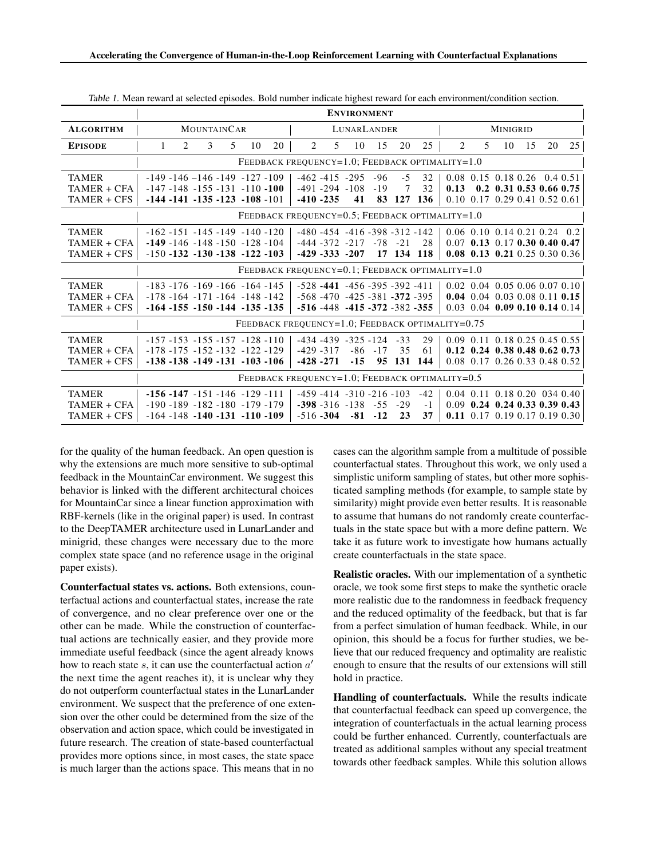|                                            | <b>ENVIRONMENT</b>                                                                                                   |                                                                                                                      |                                                                                                           |
|--------------------------------------------|----------------------------------------------------------------------------------------------------------------------|----------------------------------------------------------------------------------------------------------------------|-----------------------------------------------------------------------------------------------------------|
| <b>ALGORITHM</b>                           | <b>MOUNTAINCAR</b>                                                                                                   | LUNARLANDER                                                                                                          | MINIGRID                                                                                                  |
| <b>EPISODE</b>                             | 3<br>2<br>20<br>$\mathbf{1}$<br>.5<br>10                                                                             | $\overline{2}$<br>25<br>5<br>10<br>15<br>20                                                                          | 2<br>25<br>5<br>10<br>15<br>20                                                                            |
|                                            | FEEDBACK FREQUENCY=1.0; FEEDBACK OPTIMALITY=1.0                                                                      |                                                                                                                      |                                                                                                           |
| <b>TAMER</b>                               | $-149 - 146 - 146 - 149 - 127 - 109$                                                                                 | $-462 - 415 - 295 - 96 - 5$<br>32<br>32<br>$\overline{7}$                                                            | $0.08$ 0.15 0.18 0.26 0.4 0.51                                                                            |
| TAMER + CFA<br>TAMER + CFS                 | $-147 - 148 - 155 - 131 - 110 - 100$<br>$-144 - 141 - 135 - 123 - 108 - 101$                                         | $-491 - 294 - 108 - 19$<br>41 83 127 136<br>$-410 - 235$                                                             | $0.13$ 0.2 0.31 0.53 0.66 0.75<br>$0.10$ 0.17 0.29 0.41 0.52 0.61                                         |
|                                            | FEEDBACK FREQUENCY= $0.5$ ; FEEDBACK OPTIMALITY= $1.0$                                                               |                                                                                                                      |                                                                                                           |
| <b>TAMER</b><br>TAMER + CFA<br>TAMER + CFS | $-162 - 151 - 145 - 149 - 140 - 120$<br>$-149 - 146 - 148 - 150 - 128 - 104$<br>$-150 - 132 - 130 - 138 - 122 - 103$ | $-480 - 454 - 416 - 398 - 312 - 142$<br>$-444 - 372 - 217 - 78 - 21$ 28<br>$-429 - 333 - 207$ 17 134 118             | $0.06$ 0.10 0.14 0.21 0.24 0.2<br>$0.07$ 0.13 0.17 0.30 0.40 0.47<br>0.08 0.13 0.21 0.25 0.30 0.36        |
|                                            | FEEDBACK FREQUENCY=0.1; FEEDBACK OPTIMALITY=1.0                                                                      |                                                                                                                      |                                                                                                           |
| <b>TAMER</b><br>TAMER + CFA<br>TAMER + CFS | $-183 - 176 - 169 - 166 - 164 - 145$<br>$-178 - 164 - 171 - 164 - 148 - 142$<br>$-164 - 155 - 150 - 144 - 135 - 135$ | $-528 - 441 - 456 - 395 - 392 - 411$<br>$-568 - 470 - 425 - 381 - 372 - 395$<br>$-516 - 448 - 415 - 372 - 382 - 355$ | $0.02$ 0.04 0.05 0.06 0.07 0.10<br>0.04 0.04 0.03 0.08 0.11 0.15<br>$0.03$ 0.04 0.09 0.10 0.14 0.14       |
|                                            | FEEDBACK FREQUENCY=1.0; FEEDBACK OPTIMALITY=0.75                                                                     |                                                                                                                      |                                                                                                           |
| <b>TAMER</b><br>TAMER + CFA<br>TAMER + CFS | $-157 - 153 - 155 - 157 - 128 - 110$<br>$-178 - 175 - 152 - 132 - 122 - 129$<br>$-138 - 138 - 149 - 131 - 103 - 106$ | 29<br>$-434 - 439 - 325 - 124 - 33$<br>$-429 - 317$<br>35<br>61<br>$-86 - 17$<br>$-428 - 271$<br>-15 95 131 144      | 0.09 0.11 0.18 0.25 0.45 0.55<br>$0.12$ 0.24 0.38 0.48 0.62 0.73<br>$0.08$ 0.17 0.26 0.33 0.48 0.52       |
|                                            | FEEDBACK FREQUENCY=1.0; FEEDBACK OPTIMALITY=0.5                                                                      |                                                                                                                      |                                                                                                           |
| <b>TAMER</b><br>TAMER + CFA<br>TAMER + CFS | $-156 - 147 - 151 - 146 - 129 - 111$<br>$-190 - 189 - 182 - 180 - 179 - 179$<br>$-164 - 148 - 140 - 131 - 110 - 109$ | $-459 - 414 - 310 - 216 - 103 - 42$<br>$-398 - 316 - 138 - 55 - 29$<br>$-1$<br>37<br>$-516 - 304 - 81 - 12$ 23       | $0.04$ 0.11 0.18 0.20 034 0.40<br>$0.09$ 0.24 0.24 0.33 0.39 0.43<br><b>0.11</b> 0.17 0.19 0.17 0.19 0.30 |

Table 1. Mean reward at selected episodes. Bold number indicate highest reward for each environment/condition section.

for the quality of the human feedback. An open question is why the extensions are much more sensitive to sub-optimal feedback in the MountainCar environment. We suggest this behavior is linked with the different architectural choices for MountainCar since a linear function approximation with RBF-kernels (like in the original paper) is used. In contrast to the DeepTAMER architecture used in LunarLander and minigrid, these changes were necessary due to the more complex state space (and no reference usage in the original paper exists).

Counterfactual states vs. actions. Both extensions, counterfactual actions and counterfactual states, increase the rate of convergence, and no clear preference over one or the other can be made. While the construction of counterfactual actions are technically easier, and they provide more immediate useful feedback (since the agent already knows how to reach state  $s$ , it can use the counterfactual action  $a'$ the next time the agent reaches it), it is unclear why they do not outperform counterfactual states in the LunarLander environment. We suspect that the preference of one extension over the other could be determined from the size of the observation and action space, which could be investigated in future research. The creation of state-based counterfactual provides more options since, in most cases, the state space is much larger than the actions space. This means that in no

cases can the algorithm sample from a multitude of possible counterfactual states. Throughout this work, we only used a simplistic uniform sampling of states, but other more sophisticated sampling methods (for example, to sample state by similarity) might provide even better results. It is reasonable to assume that humans do not randomly create counterfactuals in the state space but with a more define pattern. We take it as future work to investigate how humans actually create counterfactuals in the state space.

Realistic oracles. With our implementation of a synthetic oracle, we took some first steps to make the synthetic oracle more realistic due to the randomness in feedback frequency and the reduced optimality of the feedback, but that is far from a perfect simulation of human feedback. While, in our opinion, this should be a focus for further studies, we believe that our reduced frequency and optimality are realistic enough to ensure that the results of our extensions will still hold in practice.

Handling of counterfactuals. While the results indicate that counterfactual feedback can speed up convergence, the integration of counterfactuals in the actual learning process could be further enhanced. Currently, counterfactuals are treated as additional samples without any special treatment towards other feedback samples. While this solution allows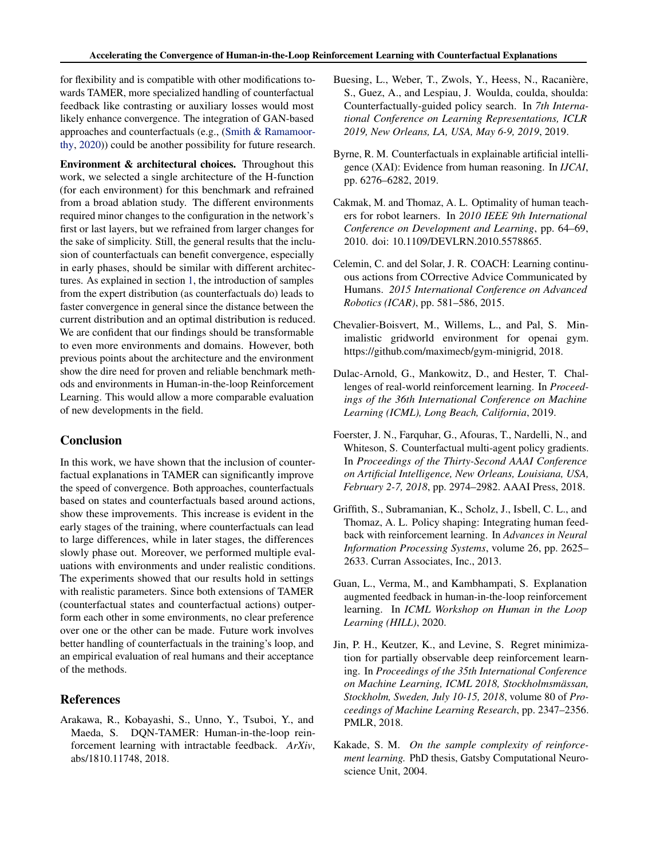<span id="page-7-0"></span>for flexibility and is compatible with other modifications towards TAMER, more specialized handling of counterfactual feedback like contrasting or auxiliary losses would most likely enhance convergence. The integration of GAN-based approaches and counterfactuals (e.g., [\(Smith & Ramamoor](#page-8-0)[thy,](#page-8-0) [2020\)](#page-8-0)) could be another possibility for future research.

Environment & architectural choices. Throughout this work, we selected a single architecture of the H-function (for each environment) for this benchmark and refrained from a broad ablation study. The different environments required minor changes to the configuration in the network's first or last layers, but we refrained from larger changes for the sake of simplicity. Still, the general results that the inclusion of counterfactuals can benefit convergence, especially in early phases, should be similar with different architectures. As explained in section [1,](#page-2-0) the introduction of samples from the expert distribution (as counterfactuals do) leads to faster convergence in general since the distance between the current distribution and an optimal distribution is reduced. We are confident that our findings should be transformable to even more environments and domains. However, both previous points about the architecture and the environment show the dire need for proven and reliable benchmark methods and environments in Human-in-the-loop Reinforcement Learning. This would allow a more comparable evaluation of new developments in the field.

# Conclusion

In this work, we have shown that the inclusion of counterfactual explanations in TAMER can significantly improve the speed of convergence. Both approaches, counterfactuals based on states and counterfactuals based around actions, show these improvements. This increase is evident in the early stages of the training, where counterfactuals can lead to large differences, while in later stages, the differences slowly phase out. Moreover, we performed multiple evaluations with environments and under realistic conditions. The experiments showed that our results hold in settings with realistic parameters. Since both extensions of TAMER (counterfactual states and counterfactual actions) outperform each other in some environments, no clear preference over one or the other can be made. Future work involves better handling of counterfactuals in the training's loop, and an empirical evaluation of real humans and their acceptance of the methods.

# References

Arakawa, R., Kobayashi, S., Unno, Y., Tsuboi, Y., and Maeda, S. DQN-TAMER: Human-in-the-loop reinforcement learning with intractable feedback. *ArXiv*, abs/1810.11748, 2018.

- Buesing, L., Weber, T., Zwols, Y., Heess, N., Racanière, S., Guez, A., and Lespiau, J. Woulda, coulda, shoulda: Counterfactually-guided policy search. In *7th International Conference on Learning Representations, ICLR 2019, New Orleans, LA, USA, May 6-9, 2019*, 2019.
- Byrne, R. M. Counterfactuals in explainable artificial intelligence (XAI): Evidence from human reasoning. In *IJCAI*, pp. 6276–6282, 2019.
- Cakmak, M. and Thomaz, A. L. Optimality of human teachers for robot learners. In *2010 IEEE 9th International Conference on Development and Learning*, pp. 64–69, 2010. doi: 10.1109/DEVLRN.2010.5578865.
- Celemin, C. and del Solar, J. R. COACH: Learning continuous actions from COrrective Advice Communicated by Humans. *2015 International Conference on Advanced Robotics (ICAR)*, pp. 581–586, 2015.
- Chevalier-Boisvert, M., Willems, L., and Pal, S. Minimalistic gridworld environment for openai gym. https://github.com/maximecb/gym-minigrid, 2018.
- Dulac-Arnold, G., Mankowitz, D., and Hester, T. Challenges of real-world reinforcement learning. In *Proceedings of the 36th International Conference on Machine Learning (ICML), Long Beach, California*, 2019.
- Foerster, J. N., Farquhar, G., Afouras, T., Nardelli, N., and Whiteson, S. Counterfactual multi-agent policy gradients. In *Proceedings of the Thirty-Second AAAI Conference on Artificial Intelligence, New Orleans, Louisiana, USA, February 2-7, 2018*, pp. 2974–2982. AAAI Press, 2018.
- Griffith, S., Subramanian, K., Scholz, J., Isbell, C. L., and Thomaz, A. L. Policy shaping: Integrating human feedback with reinforcement learning. In *Advances in Neural Information Processing Systems*, volume 26, pp. 2625– 2633. Curran Associates, Inc., 2013.
- Guan, L., Verma, M., and Kambhampati, S. Explanation augmented feedback in human-in-the-loop reinforcement learning. In *ICML Workshop on Human in the Loop Learning (HILL)*, 2020.
- Jin, P. H., Keutzer, K., and Levine, S. Regret minimization for partially observable deep reinforcement learning. In *Proceedings of the 35th International Conference on Machine Learning, ICML 2018, Stockholmsmassan, ¨ Stockholm, Sweden, July 10-15, 2018*, volume 80 of *Proceedings of Machine Learning Research*, pp. 2347–2356. PMLR, 2018.
- Kakade, S. M. *On the sample complexity of reinforcement learning.* PhD thesis, Gatsby Computational Neuroscience Unit, 2004.